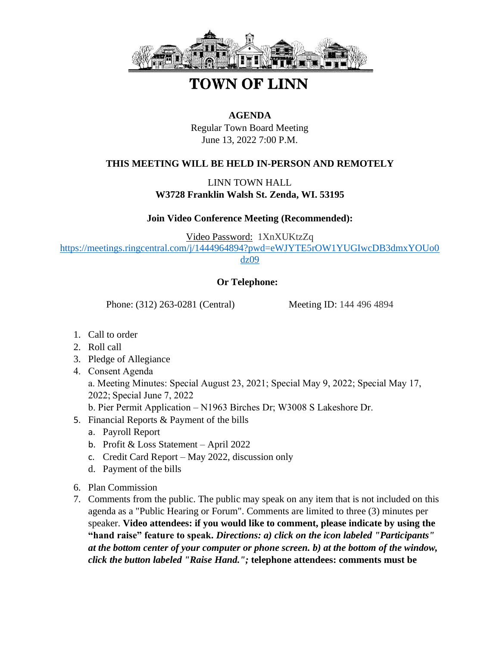

## **TOWN OF LINN**

## **AGENDA**

Regular Town Board Meeting June 13, 2022 7:00 P.M.

## **THIS MEETING WILL BE HELD IN-PERSON AND REMOTELY**

LINN TOWN HALL **W3728 Franklin Walsh St. Zenda, WI. 53195**

**Join Video Conference Meeting (Recommended):** 

Video Password: 1XnXUKtzZq [https://meetings.ringcentral.com/j/1444964894?pwd=eWJYTE5rOW1YUGIwcDB3dmxYOUo0](https://meetings.ringcentral.com/j/1444964894?pwd=eWJYTE5rOW1YUGIwcDB3dmxYOUo0dz09) [dz09](https://meetings.ringcentral.com/j/1444964894?pwd=eWJYTE5rOW1YUGIwcDB3dmxYOUo0dz09)

## **Or Telephone:**

Phone: (312) 263-0281 (Central) Meeting ID: 144 496 4894

- 1. Call to order
- 2. Roll call
- 3. Pledge of Allegiance
- 4. Consent Agenda a. Meeting Minutes: Special August 23, 2021; Special May 9, 2022; Special May 17, 2022; Special June 7, 2022
	- b. Pier Permit Application N1963 Birches Dr; W3008 S Lakeshore Dr.
- 5. Financial Reports & Payment of the bills
	- a. Payroll Report
	- b. Profit & Loss Statement April 2022
	- c. Credit Card Report May 2022, discussion only
	- d. Payment of the bills
- 6. Plan Commission
- 7. Comments from the public. The public may speak on any item that is not included on this agenda as a "Public Hearing or Forum". Comments are limited to three (3) minutes per speaker. **Video attendees: if you would like to comment, please indicate by using the "hand raise" feature to speak.** *Directions: a) click on the icon labeled "Participants" at the bottom center of your computer or phone screen. b) at the bottom of the window, click the button labeled "Raise Hand.";* **telephone attendees: comments must be**